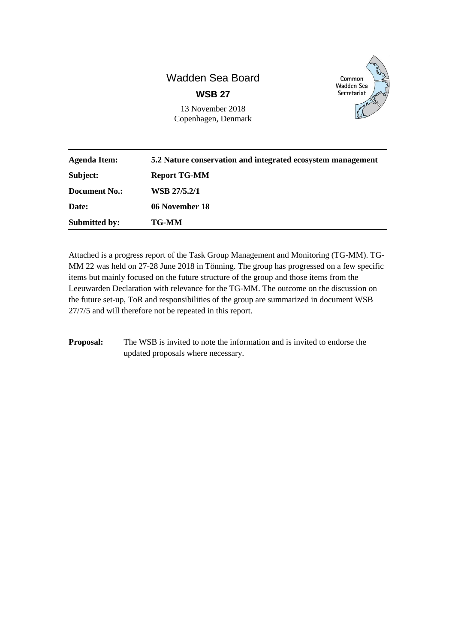# Wadden Sea Board **WSB 27**

13 November 2018 Copenhagen, Denmark



| <b>Agenda Item:</b>  | 5.2 Nature conservation and integrated ecosystem management |
|----------------------|-------------------------------------------------------------|
| Subject:             | <b>Report TG-MM</b>                                         |
| Document No.:        | WSB 27/5.2/1                                                |
| Date:                | 06 November 18                                              |
| <b>Submitted by:</b> | <b>TG-MM</b>                                                |

Attached is a progress report of the Task Group Management and Monitoring (TG-MM). TG-MM 22 was held on 27-28 June 2018 in Tönning. The group has progressed on a few specific items but mainly focused on the future structure of the group and those items from the Leeuwarden Declaration with relevance for the TG-MM. The outcome on the discussion on the future set-up, ToR and responsibilities of the group are summarized in document WSB 27/7/5 and will therefore not be repeated in this report.

**Proposal:** The WSB is invited to note the information and is invited to endorse the updated proposals where necessary.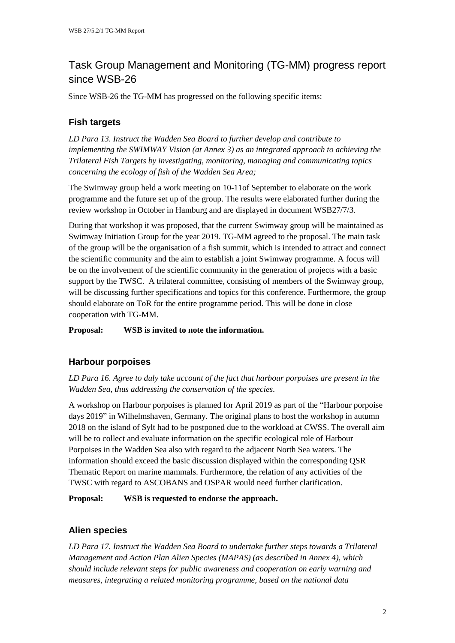# Task Group Management and Monitoring (TG-MM) progress report since WSB-26

Since WSB-26 the TG-MM has progressed on the following specific items:

## **Fish targets**

*LD Para 13. Instruct the Wadden Sea Board to further develop and contribute to implementing the SWIMWAY Vision (at Annex 3) as an integrated approach to achieving the Trilateral Fish Targets by investigating, monitoring, managing and communicating topics concerning the ecology of fish of the Wadden Sea Area;*

The Swimway group held a work meeting on 10-11of September to elaborate on the work programme and the future set up of the group. The results were elaborated further during the review workshop in October in Hamburg and are displayed in document WSB27/7/3.

During that workshop it was proposed, that the current Swimway group will be maintained as Swimway Initiation Group for the year 2019. TG-MM agreed to the proposal. The main task of the group will be the organisation of a fish summit, which is intended to attract and connect the scientific community and the aim to establish a joint Swimway programme. A focus will be on the involvement of the scientific community in the generation of projects with a basic support by the TWSC. A trilateral committee, consisting of members of the Swimway group, will be discussing further specifications and topics for this conference. Furthermore, the group should elaborate on ToR for the entire programme period. This will be done in close cooperation with TG-MM.

**Proposal: WSB is invited to note the information.**

## **Harbour porpoises**

*LD Para 16. Agree to duly take account of the fact that harbour porpoises are present in the Wadden Sea, thus addressing the conservation of the species.*

A workshop on Harbour porpoises is planned for April 2019 as part of the "Harbour porpoise days 2019" in Wilhelmshaven, Germany. The original plans to host the workshop in autumn 2018 on the island of Sylt had to be postponed due to the workload at CWSS. The overall aim will be to collect and evaluate information on the specific ecological role of Harbour Porpoises in the Wadden Sea also with regard to the adjacent North Sea waters. The information should exceed the basic discussion displayed within the corresponding QSR Thematic Report on marine mammals. Furthermore, the relation of any activities of the TWSC with regard to ASCOBANS and OSPAR would need further clarification.

**Proposal: WSB is requested to endorse the approach.**

### **Alien species**

*LD Para 17. Instruct the Wadden Sea Board to undertake further steps towards a Trilateral Management and Action Plan Alien Species (MAPAS) (as described in Annex 4), which should include relevant steps for public awareness and cooperation on early warning and measures, integrating a related monitoring programme, based on the national data*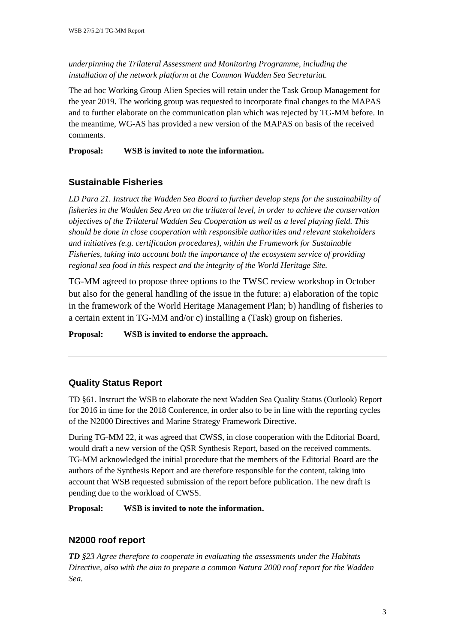*underpinning the Trilateral Assessment and Monitoring Programme, including the installation of the network platform at the Common Wadden Sea Secretariat.*

The ad hoc Working Group Alien Species will retain under the Task Group Management for the year 2019. The working group was requested to incorporate final changes to the MAPAS and to further elaborate on the communication plan which was rejected by TG-MM before. In the meantime, WG-AS has provided a new version of the MAPAS on basis of the received comments.

**Proposal: WSB is invited to note the information.**

### **Sustainable Fisheries**

*LD Para 21. Instruct the Wadden Sea Board to further develop steps for the sustainability of fisheries in the Wadden Sea Area on the trilateral level, in order to achieve the conservation objectives of the Trilateral Wadden Sea Cooperation as well as a level playing field. This should be done in close cooperation with responsible authorities and relevant stakeholders and initiatives (e.g. certification procedures), within the Framework for Sustainable Fisheries, taking into account both the importance of the ecosystem service of providing regional sea food in this respect and the integrity of the World Heritage Site.*

TG-MM agreed to propose three options to the TWSC review workshop in October but also for the general handling of the issue in the future: a) elaboration of the topic in the framework of the World Heritage Management Plan; b) handling of fisheries to a certain extent in TG-MM and/or c) installing a (Task) group on fisheries.

**Proposal: WSB is invited to endorse the approach.**

### **Quality Status Report**

TD §61. Instruct the WSB to elaborate the next Wadden Sea Quality Status (Outlook) Report for 2016 in time for the 2018 Conference, in order also to be in line with the reporting cycles of the N2000 Directives and Marine Strategy Framework Directive.

During TG-MM 22, it was agreed that CWSS, in close cooperation with the Editorial Board, would draft a new version of the QSR Synthesis Report, based on the received comments. TG-MM acknowledged the initial procedure that the members of the Editorial Board are the authors of the Synthesis Report and are therefore responsible for the content, taking into account that WSB requested submission of the report before publication. The new draft is pending due to the workload of CWSS.

**Proposal: WSB is invited to note the information.**

#### **N2000 roof report**

*TD §23 Agree therefore to cooperate in evaluating the assessments under the Habitats Directive, also with the aim to prepare a common Natura 2000 roof report for the Wadden Sea.*